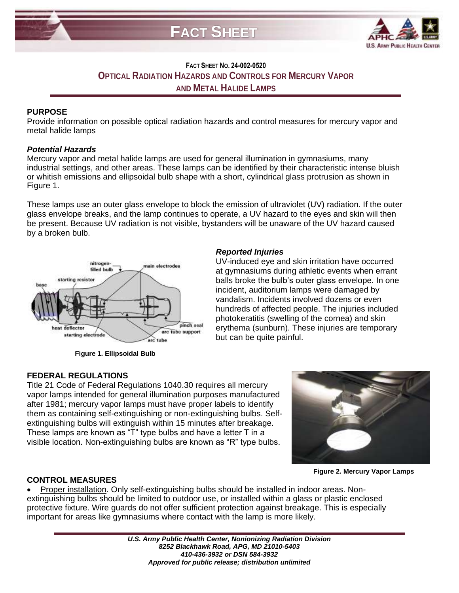

# **FACT SHEET NO. 24-002-0520 OPTICAL RADIATION HAZARDS AND CONTROLS FOR MERCURY VAPOR AND METAL HALIDE LAMPS**

## **PURPOSE**

Provide information on possible optical radiation hazards and control measures for mercury vapor and metal halide lamps

### *Potential Hazards*

Mercury vapor and metal halide lamps are used for general illumination in gymnasiums, many industrial settings, and other areas. These lamps can be identified by their characteristic intense bluish or whitish emissions and ellipsoidal bulb shape with a short, cylindrical glass protrusion as shown in Figure 1.

These lamps use an outer glass envelope to block the emission of ultraviolet (UV) radiation. If the outer glass envelope breaks, and the lamp continues to operate, a UV hazard to the eyes and skin will then be present. Because UV radiation is not visible, bystanders will be unaware of the UV hazard caused by a broken bulb.

*Reported Injuries*

but can be quite painful.

UV-induced eye and skin irritation have occurred at gymnasiums during athletic events when errant balls broke the bulb's outer glass envelope. In one incident, auditorium lamps were damaged by vandalism. Incidents involved dozens or even hundreds of affected people. The injuries included photokeratitis (swelling of the cornea) and skin erythema (sunburn). These injuries are temporary



**Figure 1. Ellipsoidal Bulb**

### **FEDERAL REGULATIONS**

Title 21 Code of Federal Regulations 1040.30 requires all mercury vapor lamps intended for general illumination purposes manufactured after 1981; mercury vapor lamps must have proper labels to identify them as containing self-extinguishing or non-extinguishing bulbs. Selfextinguishing bulbs will extinguish within 15 minutes after breakage. These lamps are known as "T" type bulbs and have a letter T in a visible location. Non-extinguishing bulbs are known as "R" type bulbs.

**Figure 2. Mercury Vapor Lamps**

# **CONTROL MEASURES**

 Proper installation. Only self-extinguishing bulbs should be installed in indoor areas. Nonextinguishing bulbs should be limited to outdoor use, or installed within a glass or plastic enclosed protective fixture. Wire guards do not offer sufficient protection against breakage. This is especially important for areas like gymnasiums where contact with the lamp is more likely.

> *U.S. Army Public Health Center, Nonionizing Radiation Division 8252 Blackhawk Road, APG, MD 21010-5403 410-436-3932 or DSN 584-3932 Approved for public release; distribution unlimited*